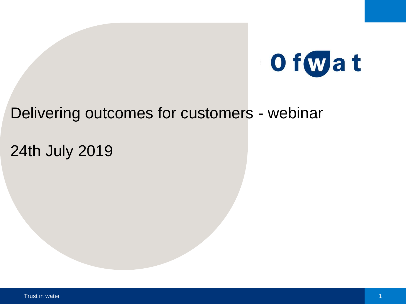

## Delivering outcomes for customers - webinar

# 24th July 2019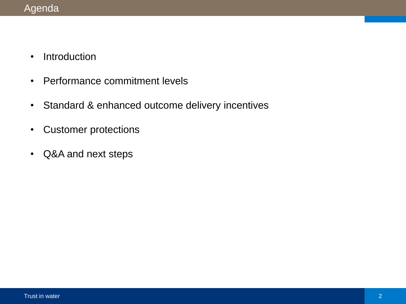- Introduction
- Performance commitment levels
- Standard & enhanced outcome delivery incentives
- Customer protections
- Q&A and next steps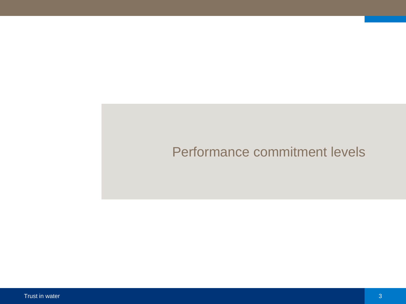# Performance commitment levels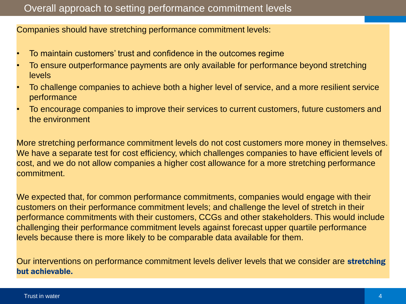## Overall approach to setting performance commitment levels

Companies should have stretching performance commitment levels:

- To maintain customers' trust and confidence in the outcomes regime
- To ensure outperformance payments are only available for performance beyond stretching levels
- To challenge companies to achieve both a higher level of service, and a more resilient service performance
- To encourage companies to improve their services to current customers, future customers and the environment

More stretching performance commitment levels do not cost customers more money in themselves. We have a separate test for cost efficiency, which challenges companies to have efficient levels of cost, and we do not allow companies a higher cost allowance for a more stretching performance commitment.

We expected that, for common performance commitments, companies would engage with their customers on their performance commitment levels; and challenge the level of stretch in their performance commitments with their customers, CCGs and other stakeholders. This would include challenging their performance commitment levels against forecast upper quartile performance levels because there is more likely to be comparable data available for them.

Our interventions on performance commitment levels deliver levels that we consider are stretching but achievable.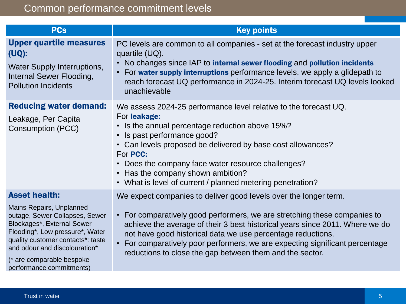| <b>PCs</b>                                                                                                                                                                                                                                                 | <b>Key points</b>                                                                                                                                                                                                                                                                                                                                                               |
|------------------------------------------------------------------------------------------------------------------------------------------------------------------------------------------------------------------------------------------------------------|---------------------------------------------------------------------------------------------------------------------------------------------------------------------------------------------------------------------------------------------------------------------------------------------------------------------------------------------------------------------------------|
| <b>Upper quartile measures</b><br>$(UQ)$ :<br><b>Water Supply Interruptions,</b><br>Internal Sewer Flooding,<br><b>Pollution Incidents</b>                                                                                                                 | PC levels are common to all companies - set at the forecast industry upper<br>quartile (UQ).<br>• No changes since IAP to internal sewer flooding and pollution incidents<br>• For water supply interruptions performance levels, we apply a glidepath to<br>reach forecast UQ performance in 2024-25. Interim forecast UQ levels looked<br>unachievable                        |
| <b>Reducing water demand:</b>                                                                                                                                                                                                                              | We assess 2024-25 performance level relative to the forecast UQ.                                                                                                                                                                                                                                                                                                                |
| Leakage, Per Capita<br><b>Consumption (PCC)</b>                                                                                                                                                                                                            | For leakage:<br>• Is the annual percentage reduction above 15%?<br>• Is past performance good?<br>• Can levels proposed be delivered by base cost allowances?<br>For <b>PCC:</b><br>• Does the company face water resource challenges?<br>• Has the company shown ambition?<br>• What is level of current / planned metering penetration?                                       |
| <b>Asset health:</b>                                                                                                                                                                                                                                       | We expect companies to deliver good levels over the longer term.                                                                                                                                                                                                                                                                                                                |
| Mains Repairs, Unplanned<br>outage, Sewer Collapses, Sewer<br>Blockages*, External Sewer<br>Flooding*, Low pressure*, Water<br>quality customer contacts*: taste<br>and odour and discolouration*<br>(* are comparable bespoke<br>performance commitments) | • For comparatively good performers, we are stretching these companies to<br>achieve the average of their 3 best historical years since 2011. Where we do<br>not have good historical data we use percentage reductions.<br>For comparatively poor performers, we are expecting significant percentage<br>$\bullet$<br>reductions to close the gap between them and the sector. |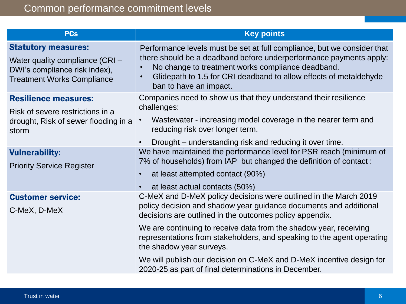| <b>PCs</b>                                                                                                                          | <b>Key points</b>                                                                                                                                                                                                                                                                                                                                                           |  |
|-------------------------------------------------------------------------------------------------------------------------------------|-----------------------------------------------------------------------------------------------------------------------------------------------------------------------------------------------------------------------------------------------------------------------------------------------------------------------------------------------------------------------------|--|
| <b>Statutory measures:</b><br>Water quality compliance (CRI -<br>DWI's compliance risk index),<br><b>Treatment Works Compliance</b> | Performance levels must be set at full compliance, but we consider that<br>there should be a deadband before underperformance payments apply:<br>No change to treatment works compliance deadband.<br>$\bullet$<br>Glidepath to 1.5 for CRI deadband to allow effects of metaldehyde<br>ban to have an impact.                                                              |  |
| <b>Resilience measures:</b><br>Risk of severe restrictions in a<br>drought, Risk of sewer flooding in a<br>storm                    | Companies need to show us that they understand their resilience<br>challenges:<br>Wastewater - increasing model coverage in the nearer term and<br>reducing risk over longer term.<br>Drought – understanding risk and reducing it over time.                                                                                                                               |  |
| <b>Vulnerability:</b><br><b>Priority Service Register</b>                                                                           | We have maintained the performance level for PSR reach (minimum of<br>7% of households) from IAP but changed the definition of contact:<br>at least attempted contact (90%)<br>$\bullet$<br>at least actual contacts (50%)                                                                                                                                                  |  |
| <b>Customer service:</b><br>C-MeX, D-MeX                                                                                            | C-MeX and D-MeX policy decisions were outlined in the March 2019<br>policy decision and shadow year guidance documents and additional<br>decisions are outlined in the outcomes policy appendix.<br>We are continuing to receive data from the shadow year, receiving<br>representations from stakeholders, and speaking to the agent operating<br>the shadow year surveys. |  |
|                                                                                                                                     | We will publish our decision on C-MeX and D-MeX incentive design for<br>2020-25 as part of final determinations in December.                                                                                                                                                                                                                                                |  |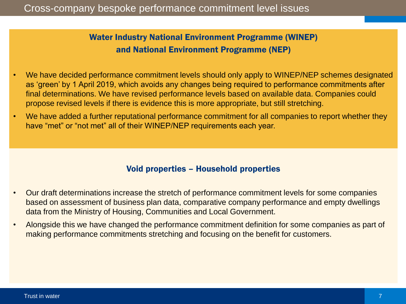Water Industry National Environment Programme (WINEP) and National Environment Programme (NEP)

- We have decided performance commitment levels should only apply to WINEP/NEP schemes designated as 'green' by 1 April 2019, which avoids any changes being required to performance commitments after final determinations. We have revised performance levels based on available data. Companies could propose revised levels if there is evidence this is more appropriate, but still stretching.
- We have added a further reputational performance commitment for all companies to report whether they have "met" or "not met" all of their WINEP/NEP requirements each year.

## Void properties – Household properties

- Our draft determinations increase the stretch of performance commitment levels for some companies based on assessment of business plan data, comparative company performance and empty dwellings data from the Ministry of Housing, Communities and Local Government.
- Alongside this we have changed the performance commitment definition for some companies as part of making performance commitments stretching and focusing on the benefit for customers.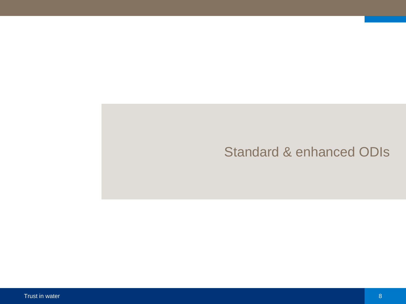## Standard & enhanced ODIs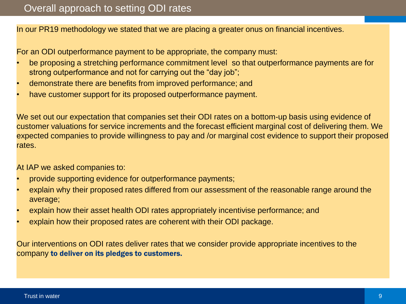In our PR19 methodology we stated that we are placing a greater onus on financial incentives.

For an ODI outperformance payment to be appropriate, the company must:

- be proposing a stretching performance commitment level so that outperformance payments are for strong outperformance and not for carrying out the "day job";
- demonstrate there are benefits from improved performance; and
- have customer support for its proposed outperformance payment.

We set out our expectation that companies set their ODI rates on a bottom-up basis using evidence of customer valuations for service increments and the forecast efficient marginal cost of delivering them. We expected companies to provide willingness to pay and /or marginal cost evidence to support their proposed rates.

At IAP we asked companies to:

- provide supporting evidence for outperformance payments;
- explain why their proposed rates differed from our assessment of the reasonable range around the average;
- explain how their asset health ODI rates appropriately incentivise performance; and
- explain how their proposed rates are coherent with their ODI package.

Our interventions on ODI rates deliver rates that we consider provide appropriate incentives to the company to deliver on its pledges to customers.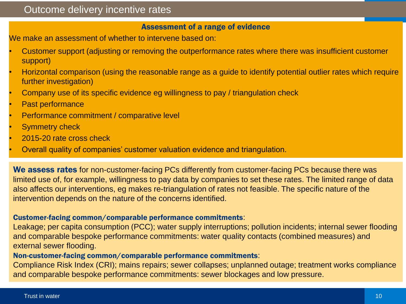## Outcome delivery incentive rates

#### Assessment of a range of evidence

We make an assessment of whether to intervene based on:

- Customer support (adjusting or removing the outperformance rates where there was insufficient customer support)
- Horizontal comparison (using the reasonable range as a guide to identify potential outlier rates which require further investigation)
- Company use of its specific evidence eg willingness to pay / triangulation check
- Past performance
- Performance commitment / comparative level
- **Symmetry check**
- 2015-20 rate cross check
- Overall quality of companies' customer valuation evidence and triangulation.

We assess rates for non-customer-facing PCs differently from customer-facing PCs because there was limited use of, for example, willingness to pay data by companies to set these rates. The limited range of data also affects our interventions, eg makes re-triangulation of rates not feasible. The specific nature of the intervention depends on the nature of the concerns identified.

#### Customer-facing common/comparable performance commitments:

Leakage; per capita consumption (PCC); water supply interruptions; pollution incidents; internal sewer flooding and comparable bespoke performance commitments: water quality contacts (combined measures) and external sewer flooding.

#### Non-customer-facing common/comparable performance commitments:

Compliance Risk Index (CRI); mains repairs; sewer collapses; unplanned outage; treatment works compliance and comparable bespoke performance commitments: sewer blockages and low pressure.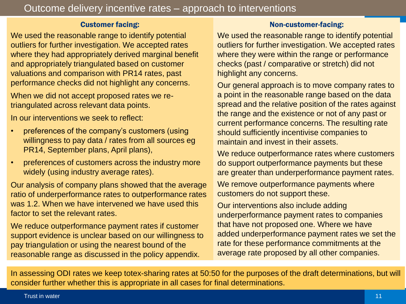## Customer facing:

We used the reasonable range to identify potential outliers for further investigation. We accepted rates where they had appropriately derived marginal benefit and appropriately triangulated based on customer valuations and comparison with PR14 rates, past performance checks did not highlight any concerns.

When we did not accept proposed rates we retriangulated across relevant data points.

In our interventions we seek to reflect:

- preferences of the company's customers (using willingness to pay data / rates from all sources eg PR14, September plans, April plans),
- preferences of customers across the industry more widely (using industry average rates).

Our analysis of company plans showed that the average ratio of underperformance rates to outperformance rates was 1.2. When we have intervened we have used this factor to set the relevant rates.

We reduce outperformance payment rates if customer support evidence is unclear based on our willingness to pay triangulation or using the nearest bound of the reasonable range as discussed in the policy appendix.

### Non-customer-facing:

We used the reasonable range to identify potential outliers for further investigation. We accepted rates where they were within the range or performance checks (past / comparative or stretch) did not highlight any concerns.

Our general approach is to move company rates to a point in the reasonable range based on the data spread and the relative position of the rates against the range and the existence or not of any past or current performance concerns. The resulting rate should sufficiently incentivise companies to maintain and invest in their assets.

We reduce outperformance rates where customers do support outperformance payments but these are greater than underperformance payment rates.

We remove outperformance payments where customers do not support these.

Our interventions also include adding underperformance payment rates to companies that have not proposed one. Where we have added underperformance payment rates we set the rate for these performance commitments at the average rate proposed by all other companies.

In assessing ODI rates we keep totex-sharing rates at 50:50 for the purposes of the draft determinations, but will consider further whether this is appropriate in all cases for final determinations.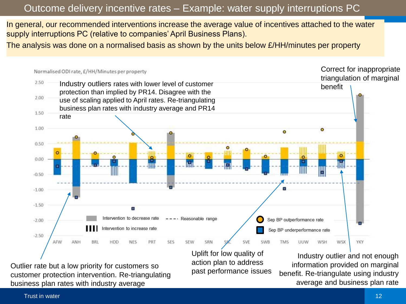## Outcome delivery incentive rates – Example: water supply interruptions PC

In general, our recommended interventions increase the average value of incentives attached to the water supply interruptions PC (relative to companies' April Business Plans).

The analysis was done on a normalised basis as shown by the units below £/HH/minutes per property



past performance issues

Outlier rate but a low priority for customers so customer protection intervention. Re-triangulating business plan rates with industry average

information provided on marginal benefit. Re-triangulate using industry average and business plan rate

Trust in water the control of the control of the control of the control of the control of the control of the control of the control of the control of the control of the control of the control of the control of the control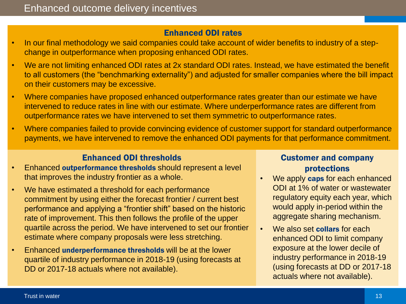### Enhanced ODI rates

- In our final methodology we said companies could take account of wider benefits to industry of a stepchange in outperformance when proposing enhanced ODI rates.
- We are not limiting enhanced ODI rates at 2x standard ODI rates. Instead, we have estimated the benefit to all customers (the "benchmarking externality") and adjusted for smaller companies where the bill impact on their customers may be excessive.
- Where companies have proposed enhanced outperformance rates greater than our estimate we have intervened to reduce rates in line with our estimate. Where underperformance rates are different from outperformance rates we have intervened to set them symmetric to outperformance rates.
- Where companies failed to provide convincing evidence of customer support for standard outperformance payments, we have intervened to remove the enhanced ODI payments for that performance commitment.

## Enhanced ODI thresholds

- Enhanced outperformance thresholds should represent a level that improves the industry frontier as a whole.
- We have estimated a threshold for each performance commitment by using either the forecast frontier / current best performance and applying a "frontier shift" based on the historic rate of improvement. This then follows the profile of the upper quartile across the period. We have intervened to set our frontier estimate where company proposals were less stretching.
- Enhanced underperformance thresholds will be at the lower quartile of industry performance in 2018-19 (using forecasts at DD or 2017-18 actuals where not available).

## Customer and company protections

- We apply caps for each enhanced ODI at 1% of water or wastewater regulatory equity each year, which would apply in-period within the aggregate sharing mechanism.
- We also set collars for each enhanced ODI to limit company exposure at the lower decile of industry performance in 2018-19 (using forecasts at DD or 2017-18 actuals where not available).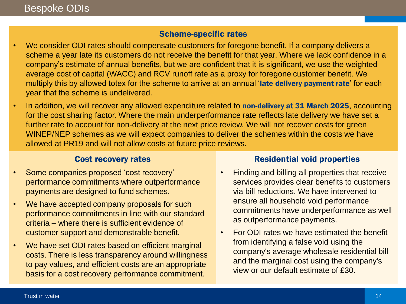## Scheme-specific rates

- We consider ODI rates should compensate customers for foregone benefit. If a company delivers a scheme a year late its customers do not receive the benefit for that year. Where we lack confidence in a company's estimate of annual benefits, but we are confident that it is significant, we use the weighted average cost of capital (WACC) and RCV runoff rate as a proxy for foregone customer benefit. We multiply this by allowed totex for the scheme to arrive at an annual 'late delivery payment rate' for each year that the scheme is undelivered.
- In addition, we will recover any allowed expenditure related to non-delivery at 31 March 2025, accounting for the cost sharing factor. Where the main underperformance rate reflects late delivery we have set a further rate to account for non-delivery at the next price review. We will not recover costs for green WINEP/NEP schemes as we will expect companies to deliver the schemes within the costs we have allowed at PR19 and will not allow costs at future price reviews.

## Cost recovery rates

- Some companies proposed 'cost recovery' performance commitments where outperformance payments are designed to fund schemes.
- We have accepted company proposals for such performance commitments in line with our standard criteria – where there is sufficient evidence of customer support and demonstrable benefit.
- We have set ODI rates based on efficient marginal costs. There is less transparency around willingness to pay values, and efficient costs are an appropriate basis for a cost recovery performance commitment.

## Residential void properties

- Finding and billing all properties that receive services provides clear benefits to customers via bill reductions. We have intervened to ensure all household void performance commitments have underperformance as well as outperformance payments.
- For ODI rates we have estimated the benefit from identifying a false void using the company's average wholesale residential bill and the marginal cost using the company's view or our default estimate of £30.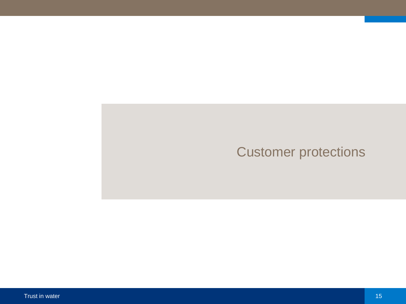# Customer protections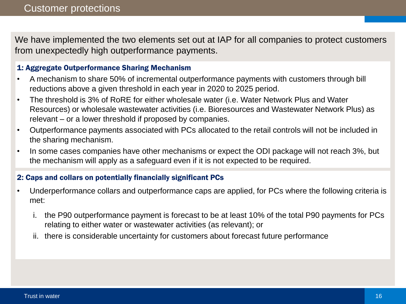We have implemented the two elements set out at IAP for all companies to protect customers from unexpectedly high outperformance payments.

#### 1: Aggregate Outperformance Sharing Mechanism

- A mechanism to share 50% of incremental outperformance payments with customers through bill reductions above a given threshold in each year in 2020 to 2025 period.
- The threshold is 3% of RoRE for either wholesale water (i.e. Water Network Plus and Water Resources) or wholesale wastewater activities (i.e. Bioresources and Wastewater Network Plus) as relevant – or a lower threshold if proposed by companies.
- Outperformance payments associated with PCs allocated to the retail controls will not be included in the sharing mechanism.
- In some cases companies have other mechanisms or expect the ODI package will not reach 3%, but the mechanism will apply as a safeguard even if it is not expected to be required.

## 2: Caps and collars on potentially financially significant PCs

- Underperformance collars and outperformance caps are applied, for PCs where the following criteria is met:
	- i. the P90 outperformance payment is forecast to be at least 10% of the total P90 payments for PCs relating to either water or wastewater activities (as relevant); or
	- ii. there is considerable uncertainty for customers about forecast future performance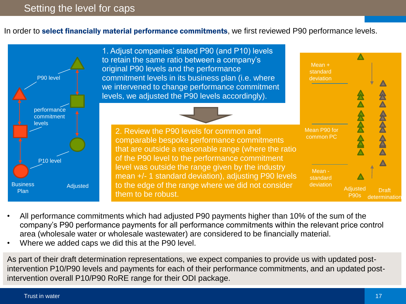In order to **select financially material performance commitments**, we first reviewed P90 performance levels.



- All performance commitments which had adjusted P90 payments higher than 10% of the sum of the company's P90 performance payments for all performance commitments within the relevant price control area (wholesale water or wholesale wastewater) are considered to be financially material.
- Where we added caps we did this at the P90 level.

As part of their draft determination representations, we expect companies to provide us with updated postintervention P10/P90 levels and payments for each of their performance commitments, and an updated postintervention overall P10/P90 RoRE range for their ODI package.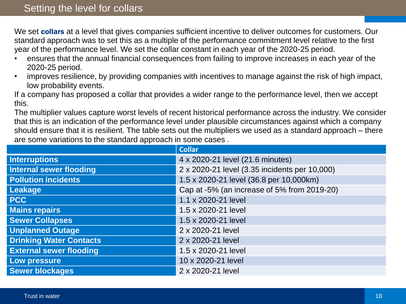We set collars at a level that gives companies sufficient incentive to deliver outcomes for customers. Our standard approach was to set this as a multiple of the performance commitment level relative to the first year of the performance level. We set the collar constant in each year of the 2020-25 period.

- ensures that the annual financial consequences from failing to improve increases in each year of the 2020-25 period.
- improves resilience, by providing companies with incentives to manage against the risk of high impact, low probability events.

If a company has proposed a collar that provides a wider range to the performance level, then we accept this.

The multiplier values capture worst levels of recent historical performance across the industry. We consider that this is an indication of the performance level under plausible circumstances against which a company should ensure that it is resilient. The table sets out the multipliers we used as a standard approach – there are some variations to the standard approach in some cases .

|                                | <b>Collar</b>                                 |
|--------------------------------|-----------------------------------------------|
| <b>Interruptions</b>           | 4 x 2020-21 level (21.6 minutes)              |
| <b>Internal sewer flooding</b> | 2 x 2020-21 level (3.35 incidents per 10,000) |
| <b>Pollution incidents</b>     | 1.5 x 2020-21 level (36.8 per 10,000km)       |
| Leakage                        | Cap at -5% (an increase of 5% from 2019-20)   |
| <b>PCC</b>                     | 1.1 x 2020-21 level                           |
| <b>Mains repairs</b>           | 1.5 x 2020-21 level                           |
| <b>Sewer Collapses</b>         | 1.5 x 2020-21 level                           |
| <b>Unplanned Outage</b>        | 2 x 2020-21 level                             |
| <b>Drinking Water Contacts</b> | 2 x 2020-21 level                             |
| <b>External sewer flooding</b> | 1.5 x 2020-21 level                           |
| Low pressure                   | 10 x 2020-21 level                            |
| <b>Sewer blockages</b>         | 2 x 2020-21 level                             |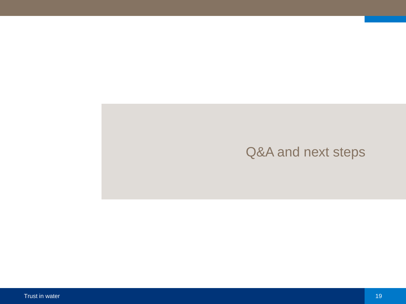## Q&A and next steps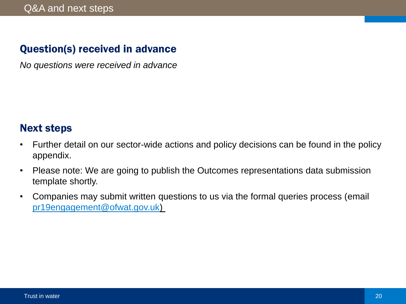## Question(s) received in advance

*No questions were received in advance*

## Next steps

- Further detail on our sector-wide actions and policy decisions can be found in the policy appendix.
- Please note: We are going to publish the Outcomes representations data submission template shortly.
- Companies may submit written questions to us via the formal queries process (email [pr19engagement@ofwat.gov.uk](mailto:pr19engagement@ofwat.gov.uk))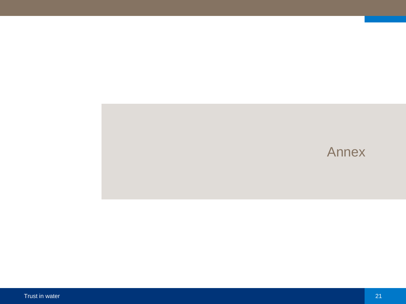## Annex